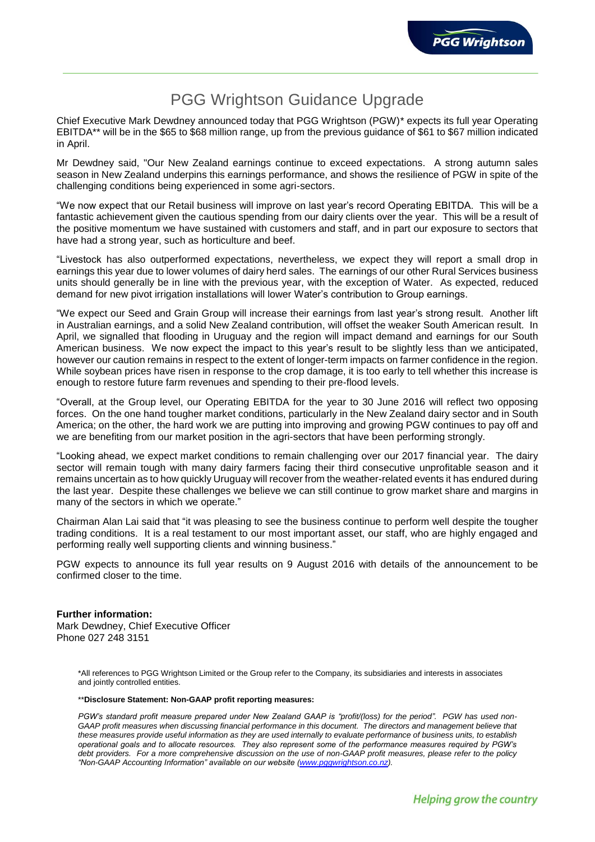## PGG Wrightson Guidance Upgrade

Chief Executive Mark Dewdney announced today that PGG Wrightson (PGW)\* expects its full year Operating EBITDA\*\* will be in the \$65 to \$68 million range, up from the previous guidance of \$61 to \$67 million indicated in April.

Mr Dewdney said, "Our New Zealand earnings continue to exceed expectations. A strong autumn sales season in New Zealand underpins this earnings performance, and shows the resilience of PGW in spite of the challenging conditions being experienced in some agri-sectors.

"We now expect that our Retail business will improve on last year's record Operating EBITDA. This will be a fantastic achievement given the cautious spending from our dairy clients over the year. This will be a result of the positive momentum we have sustained with customers and staff, and in part our exposure to sectors that have had a strong year, such as horticulture and beef.

"Livestock has also outperformed expectations, nevertheless, we expect they will report a small drop in earnings this year due to lower volumes of dairy herd sales. The earnings of our other Rural Services business units should generally be in line with the previous year, with the exception of Water. As expected, reduced demand for new pivot irrigation installations will lower Water's contribution to Group earnings.

"We expect our Seed and Grain Group will increase their earnings from last year's strong result. Another lift in Australian earnings, and a solid New Zealand contribution, will offset the weaker South American result. In April, we signalled that flooding in Uruguay and the region will impact demand and earnings for our South American business. We now expect the impact to this year's result to be slightly less than we anticipated, however our caution remains in respect to the extent of longer-term impacts on farmer confidence in the region. While soybean prices have risen in response to the crop damage, it is too early to tell whether this increase is enough to restore future farm revenues and spending to their pre-flood levels.

"Overall, at the Group level, our Operating EBITDA for the year to 30 June 2016 will reflect two opposing forces. On the one hand tougher market conditions, particularly in the New Zealand dairy sector and in South America; on the other, the hard work we are putting into improving and growing PGW continues to pay off and we are benefiting from our market position in the agri-sectors that have been performing strongly.

"Looking ahead, we expect market conditions to remain challenging over our 2017 financial year. The dairy sector will remain tough with many dairy farmers facing their third consecutive unprofitable season and it remains uncertain as to how quickly Uruguay will recover from the weather-related events it has endured during the last year. Despite these challenges we believe we can still continue to grow market share and margins in many of the sectors in which we operate."

Chairman Alan Lai said that "it was pleasing to see the business continue to perform well despite the tougher trading conditions. It is a real testament to our most important asset, our staff, who are highly engaged and performing really well supporting clients and winning business."

PGW expects to announce its full year results on 9 August 2016 with details of the announcement to be confirmed closer to the time.

## **Further information:**

Mark Dewdney, Chief Executive Officer Phone 027 248 3151

> \*All references to PGG Wrightson Limited or the Group refer to the Company, its subsidiaries and interests in associates and jointly controlled entities.

## \*\***Disclosure Statement: Non-GAAP profit reporting measures:**

*PGW's standard profit measure prepared under New Zealand GAAP is "profit/(loss) for the period". PGW has used non-*GAAP profit measures when discussing financial performance in this document. The directors and management believe that *these measures provide useful information as they are used internally to evaluate performance of business units, to establish operational goals and to allocate resources. They also represent some of the performance measures required by PGW's debt providers. For a more comprehensive discussion on the use of non-GAAP profit measures, please refer to the policy "Non-GAAP Accounting Information" available on our website [\(www.pggwrightson.co.nz\)](http://www.pggwrightson.co.nz/).*